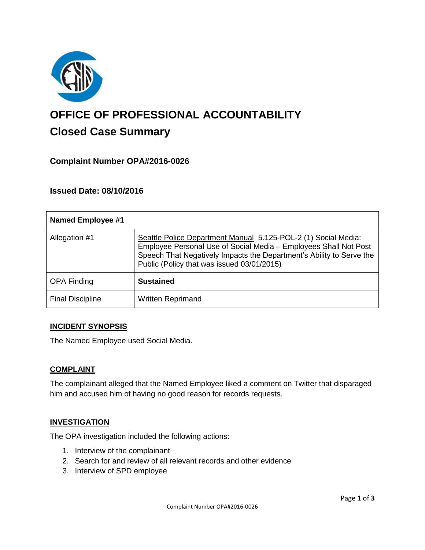

# **OFFICE OF PROFESSIONAL ACCOUNTABILITY Closed Case Summary**

# **Complaint Number OPA#2016-0026**

## **Issued Date: 08/10/2016**

| Named Employee #1       |                                                                                                                                                                                                                                                          |
|-------------------------|----------------------------------------------------------------------------------------------------------------------------------------------------------------------------------------------------------------------------------------------------------|
| Allegation #1           | Seattle Police Department Manual 5.125-POL-2 (1) Social Media:<br>Employee Personal Use of Social Media - Employees Shall Not Post<br>Speech That Negatively Impacts the Department's Ability to Serve the<br>Public (Policy that was issued 03/01/2015) |
| <b>OPA Finding</b>      | <b>Sustained</b>                                                                                                                                                                                                                                         |
| <b>Final Discipline</b> | <b>Written Reprimand</b>                                                                                                                                                                                                                                 |

#### **INCIDENT SYNOPSIS**

The Named Employee used Social Media.

#### **COMPLAINT**

The complainant alleged that the Named Employee liked a comment on Twitter that disparaged him and accused him of having no good reason for records requests.

#### **INVESTIGATION**

The OPA investigation included the following actions:

- 1. Interview of the complainant
- 2. Search for and review of all relevant records and other evidence
- 3. Interview of SPD employee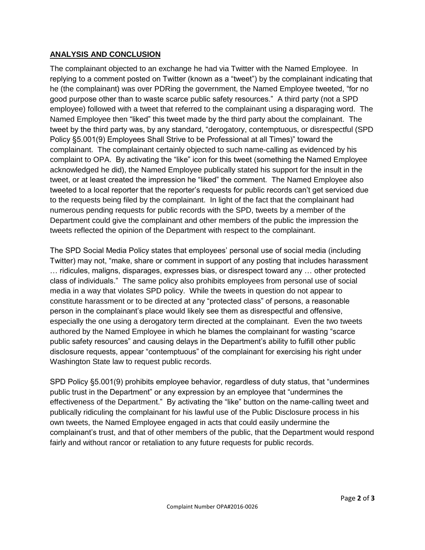## **ANALYSIS AND CONCLUSION**

The complainant objected to an exchange he had via Twitter with the Named Employee. In replying to a comment posted on Twitter (known as a "tweet") by the complainant indicating that he (the complainant) was over PDRing the government, the Named Employee tweeted, "for no good purpose other than to waste scarce public safety resources." A third party (not a SPD employee) followed with a tweet that referred to the complainant using a disparaging word. The Named Employee then "liked" this tweet made by the third party about the complainant. The tweet by the third party was, by any standard, "derogatory, contemptuous, or disrespectful (SPD Policy §5.001(9) Employees Shall Strive to be Professional at all Times)" toward the complainant. The complainant certainly objected to such name-calling as evidenced by his complaint to OPA. By activating the "like" icon for this tweet (something the Named Employee acknowledged he did), the Named Employee publically stated his support for the insult in the tweet, or at least created the impression he "liked" the comment. The Named Employee also tweeted to a local reporter that the reporter's requests for public records can't get serviced due to the requests being filed by the complainant. In light of the fact that the complainant had numerous pending requests for public records with the SPD, tweets by a member of the Department could give the complainant and other members of the public the impression the tweets reflected the opinion of the Department with respect to the complainant.

The SPD Social Media Policy states that employees' personal use of social media (including Twitter) may not, "make, share or comment in support of any posting that includes harassment … ridicules, maligns, disparages, expresses bias, or disrespect toward any … other protected class of individuals." The same policy also prohibits employees from personal use of social media in a way that violates SPD policy. While the tweets in question do not appear to constitute harassment or to be directed at any "protected class" of persons, a reasonable person in the complainant's place would likely see them as disrespectful and offensive, especially the one using a derogatory term directed at the complainant. Even the two tweets authored by the Named Employee in which he blames the complainant for wasting "scarce public safety resources" and causing delays in the Department's ability to fulfill other public disclosure requests, appear "contemptuous" of the complainant for exercising his right under Washington State law to request public records.

SPD Policy §5.001(9) prohibits employee behavior, regardless of duty status, that "undermines public trust in the Department" or any expression by an employee that "undermines the effectiveness of the Department." By activating the "like" button on the name-calling tweet and publically ridiculing the complainant for his lawful use of the Public Disclosure process in his own tweets, the Named Employee engaged in acts that could easily undermine the complainant's trust, and that of other members of the public, that the Department would respond fairly and without rancor or retaliation to any future requests for public records.